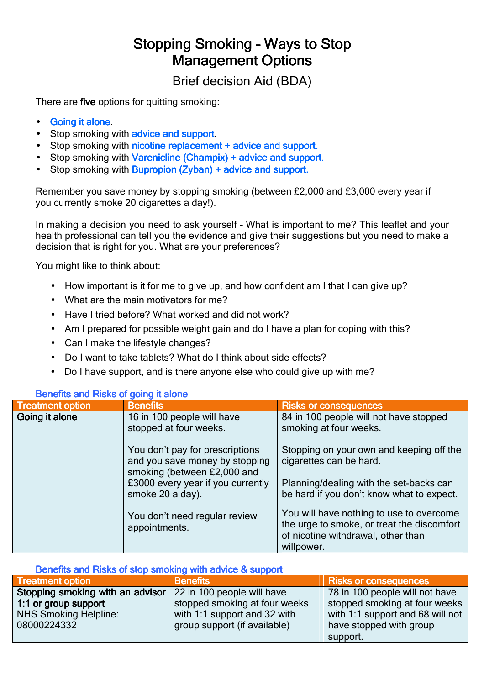## Stopping Smoking - Ways to Stop **Management Options**

Brief decision Aid (BDA)

There are five options for quitting smoking:

- Going it alone.
- Stop smoking with **advice and support.**
- Stop smoking with nicotine replacement + advice and support.
- Stop smoking with Varenicline (Champix) + advice and support.
- Stop smoking with **Bupropion (Zyban) + advice and support.**

Remember you save money by stopping smoking (between £2,000 and £3,000 every year if you currently smoke 20 cigarettes a day!).

In making a decision you need to ask yourself – What is important to me? This leaflet and your health professional can tell you the evidence and give their suggestions but you need to make a decision that is right for you. What are your preferences?

You might like to think about:

- How important is it for me to give up, and how confident am I that I can give up?
- What are the main motivators for me?
- Have I tried before? What worked and did not work?
- Am I prepared for possible weight gain and do I have a plan for coping with this?
- Can I make the lifestyle changes?
- Do I want to take tablets? What do I think about side effects?
- Do I have support, and is there anyone else who could give up with me?

| <b>Deligina and I NSKS OF YOUR IL GIONE</b> |                                                                                                  |                                                                                                                                            |
|---------------------------------------------|--------------------------------------------------------------------------------------------------|--------------------------------------------------------------------------------------------------------------------------------------------|
| <b>Treatment option</b>                     | <b>Benefits</b>                                                                                  | <b>Risks or consequences</b>                                                                                                               |
| Going it alone                              | 16 in 100 people will have<br>stopped at four weeks.                                             | 84 in 100 people will not have stopped<br>smoking at four weeks.                                                                           |
|                                             | You don't pay for prescriptions<br>and you save money by stopping<br>smoking (between £2,000 and | Stopping on your own and keeping off the<br>cigarettes can be hard.                                                                        |
|                                             | £3000 every year if you currently<br>smoke 20 a day).                                            | Planning/dealing with the set-backs can<br>be hard if you don't know what to expect.                                                       |
|                                             | You don't need regular review<br>appointments.                                                   | You will have nothing to use to overcome<br>the urge to smoke, or treat the discomfort<br>of nicotine withdrawal, other than<br>willpower. |

## Benefits and Risks of going it alone

Benefits and Risks of stop smoking with advice & support

| <b>Treatment option</b>                                     | <b>Benefits</b>               | <b>Risks or consequences</b>     |
|-------------------------------------------------------------|-------------------------------|----------------------------------|
| Stopping smoking with an advisor 22 in 100 people will have |                               | 78 in 100 people will not have   |
| 1:1 or group support                                        | stopped smoking at four weeks | stopped smoking at four weeks    |
| NHS Smoking Helpline:                                       | with 1:1 support and 32 with  | with 1:1 support and 68 will not |
| 08000224332                                                 | group support (if available)  | have stopped with group          |
|                                                             |                               | support.                         |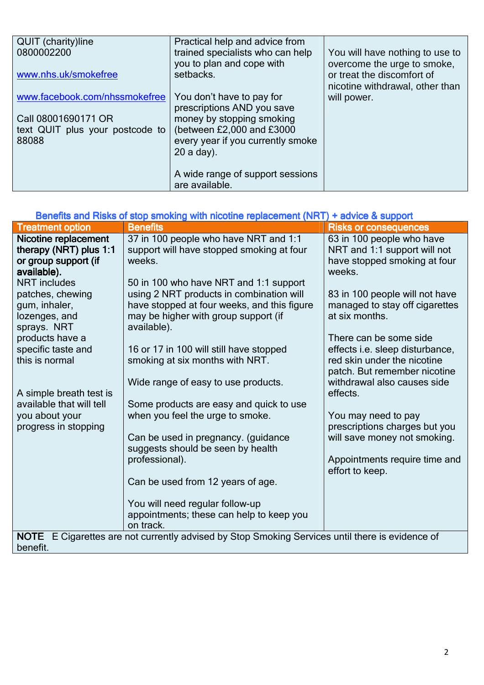| <b>QUIT</b> (charity)line       | Practical help and advice from    |                                 |
|---------------------------------|-----------------------------------|---------------------------------|
| 0800002200                      | trained specialists who can help  | You will have nothing to use to |
|                                 | you to plan and cope with         | overcome the urge to smoke,     |
|                                 |                                   |                                 |
| www.nhs.uk/smokefree            | setbacks.                         | or treat the discomfort of      |
|                                 |                                   | nicotine withdrawal, other than |
| www.facebook.com/nhssmokefree   | You don't have to pay for         | will power.                     |
|                                 | prescriptions AND you save        |                                 |
| Call 08001690171 OR             | money by stopping smoking         |                                 |
| text QUIT plus your postcode to | (between £2,000 and £3000         |                                 |
| 88088                           | every year if you currently smoke |                                 |
|                                 | $20$ a day).                      |                                 |
|                                 |                                   |                                 |
|                                 |                                   |                                 |
|                                 | A wide range of support sessions  |                                 |
|                                 | are available.                    |                                 |

| Benefits and Risks of stop smoking with nicotine replacement (NRT) + advice & support                                                                                                                                                                                                                                                         |                                                                                                                                                                                                                                                                                                                                                                                                                                                                                                                                                                                                                                 |                                                                                                                                                                                                                                                                                                                                                                                                                                                                                                                     |  |
|-----------------------------------------------------------------------------------------------------------------------------------------------------------------------------------------------------------------------------------------------------------------------------------------------------------------------------------------------|---------------------------------------------------------------------------------------------------------------------------------------------------------------------------------------------------------------------------------------------------------------------------------------------------------------------------------------------------------------------------------------------------------------------------------------------------------------------------------------------------------------------------------------------------------------------------------------------------------------------------------|---------------------------------------------------------------------------------------------------------------------------------------------------------------------------------------------------------------------------------------------------------------------------------------------------------------------------------------------------------------------------------------------------------------------------------------------------------------------------------------------------------------------|--|
| <b>Treatment option</b>                                                                                                                                                                                                                                                                                                                       | <b>Benefits</b>                                                                                                                                                                                                                                                                                                                                                                                                                                                                                                                                                                                                                 | <b>Risks or consequences</b>                                                                                                                                                                                                                                                                                                                                                                                                                                                                                        |  |
| Nicotine replacement<br>therapy (NRT) plus 1:1<br>or group support (if<br>available).<br><b>NRT</b> includes<br>patches, chewing<br>gum, inhaler,<br>lozenges, and<br>sprays. NRT<br>products have a<br>specific taste and<br>this is normal<br>A simple breath test is<br>available that will tell<br>you about your<br>progress in stopping | 37 in 100 people who have NRT and 1:1<br>support will have stopped smoking at four<br>weeks.<br>50 in 100 who have NRT and 1:1 support<br>using 2 NRT products in combination will<br>have stopped at four weeks, and this figure<br>may be higher with group support (if<br>available).<br>16 or 17 in 100 will still have stopped<br>smoking at six months with NRT.<br>Wide range of easy to use products.<br>Some products are easy and quick to use<br>when you feel the urge to smoke.<br>Can be used in pregnancy. (guidance<br>suggests should be seen by health<br>professional).<br>Can be used from 12 years of age. | 63 in 100 people who have<br>NRT and 1:1 support will not<br>have stopped smoking at four<br>weeks.<br>83 in 100 people will not have<br>managed to stay off cigarettes<br>at six months.<br>There can be some side<br>effects <i>i.e.</i> sleep disturbance,<br>red skin under the nicotine<br>patch. But remember nicotine<br>withdrawal also causes side<br>effects.<br>You may need to pay<br>prescriptions charges but you<br>will save money not smoking.<br>Appointments require time and<br>effort to keep. |  |
|                                                                                                                                                                                                                                                                                                                                               | You will need regular follow-up<br>appointments; these can help to keep you<br>on track.<br>NOTE E Cigarettes are not currently advised by Stop Smoking Services until there is evidence of                                                                                                                                                                                                                                                                                                                                                                                                                                     |                                                                                                                                                                                                                                                                                                                                                                                                                                                                                                                     |  |
| benefit.                                                                                                                                                                                                                                                                                                                                      |                                                                                                                                                                                                                                                                                                                                                                                                                                                                                                                                                                                                                                 |                                                                                                                                                                                                                                                                                                                                                                                                                                                                                                                     |  |